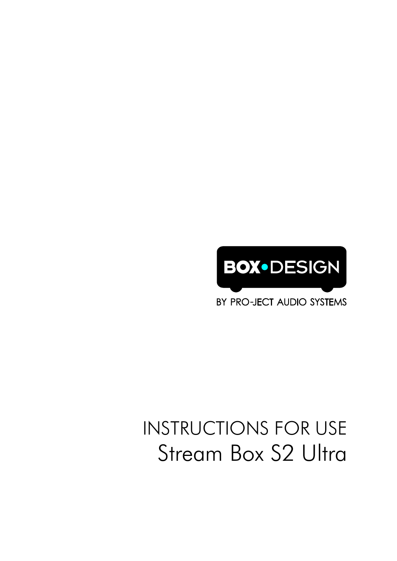

BY PRO-JECT AUDIO SYSTEMS

# INSTRUCTIONS FOR USE Stream Box S2 Ultra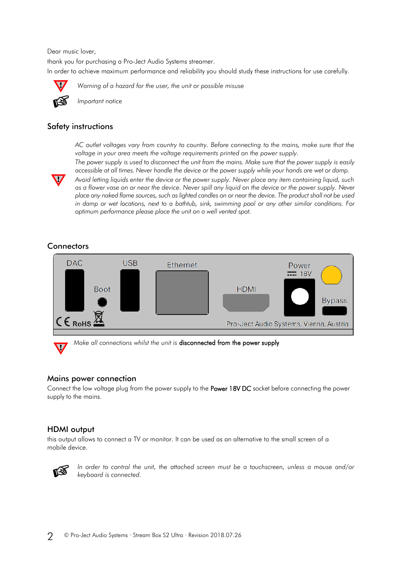Dear music lover,

thank you for purchasing a Pro-Ject Audio Systems streamer. In order to achieve maximum performance and reliability you should study these instructions for use carefully.



*Warning of a hazard for the user, the unit or possible misuse*



*Important notice*

### Safety instructions

*AC outlet voltages vary from country to country. Before connecting to the mains, make sure that the voltage in your area meets the voltage requirements printed on the power supply.*



*The power supply is used to disconnect the unit from the mains. Make sure that the power supply is easily accessible at all times. Never handle the device or the power supply while your hands are wet or damp.*

*Avoid letting liquids enter the device or the power supply. Never place any item containing liquid, such as a flower vase on or near the device. Never spill any liquid on the device or the power supply. Never place any naked flame sources, such as lighted candles on or near the device. The product shall not be used in damp or wet locations, next to a bathtub, sink, swimming pool or any other similar conditions. For optimum performance please place the unit on a well vented spot.*

# **Connectors**



*Make all connections whilst the unit is* disconnected from the power supply

#### Mains power connection

Connect the low voltage plug from the power supply to the **Power 18V DC** socket before connecting the power supply to the mains.

# HDMI output

this output allows to connect a TV or monitor. It can be used as an alternative to the small screen of a mobile device.



*In order to control the unit, the attached screen must be a touchscreen, unless a mouse and/or keyboard is connected.*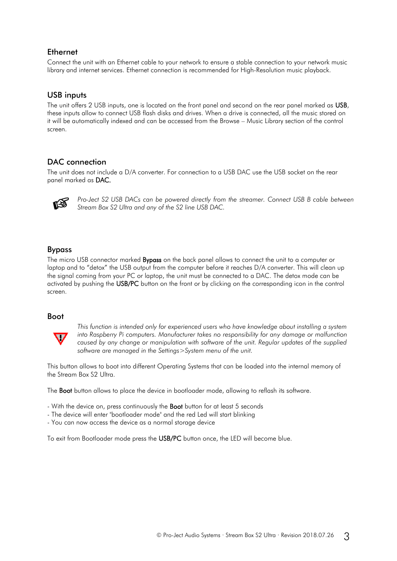# Ethernet

Connect the unit with an Ethernet cable to your network to ensure a stable connection to your network music library and internet services. Ethernet connection is recommended for High-Resolution music playback.

# USB inputs

The unit offers 2 USB inputs, one is located on the front panel and second on the rear panel marked as USB, these inputs allow to connect USB flash disks and drives. When a drive is connected, all the music stored on it will be automatically indexed and can be accessed from the Browse – Music Library section of the control screen.

# DAC connection

The unit does not include a D/A converter. For connection to a USB DAC use the USB socket on the rear panel marked as DAC.



*Pro-Ject S2 USB DACs can be powered directly from the streamer. Connect USB B cable between Stream Box S2 Ultra and any of the S2 line USB DAC.*

# Bypass

The micro USB connector marked **Bypass** on the back panel allows to connect the unit to a computer or laptop and to "detox" the USB output from the computer before it reaches D/A converter. This will clean up the signal coming from your PC or laptop, the unit must be connected to a DAC. The detox mode can be activated by pushing the USB/PC button on the front or by clicking on the corresponding icon in the control screen.

#### Boot



*This function is intended only for experienced users who have knowledge about installing a system into Raspberry Pi computers. Manufacturer takes no responsibility for any damage or malfunction caused by any change or manipulation with software of the unit. Regular updates of the supplied software are managed in the Settings>System menu of the unit.*

This button allows to boot into different Operating Systems that can be loaded into the internal memory of the Stream Box S2 Ultra.

The Boot button allows to place the device in bootloader mode, allowing to reflash its software.

- With the device on, press continuously the **Boot** button for at least 5 seconds
- The device will enter "bootloader mode" and the red Led will start blinking
- You can now access the device as a normal storage device

To exit from Bootloader mode press the USB/PC button once, the LED will become blue.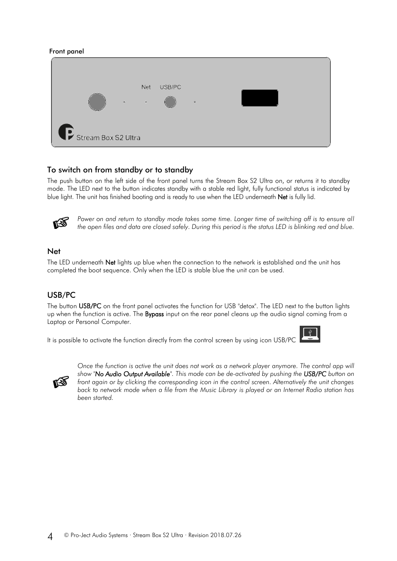#### Front panel

|                     | $\Phi$ | Net<br>$\alpha$ | USB/PC | $\boldsymbol{\nabla}$ |  |
|---------------------|--------|-----------------|--------|-----------------------|--|
| Stream Box S2 Ultra |        |                 |        |                       |  |

#### To switch on from standby or to standby

The push button on the left side of the front panel turns the Stream Box S2 Ultra on, or returns it to standby mode. The LED next to the button indicates standby with a stable red light, fully functional status is indicated by blue light. The unit has finished booting and is ready to use when the LED underneath Net is fully lid.



Power on and return to standby mode takes some time. Longer time of switching off is to ensure all *the open files and data are closed safely. During this period is the status LED is blinking red and blue.*

#### Net

The LED underneath Net lights up blue when the connection to the network is established and the unit has completed the boot sequence. Only when the LED is stable blue the unit can be used.

#### USB/PC

The button USB/PC on the front panel activates the function for USB "detox". The LED next to the button lights up when the function is active. The **Bypass** input on the rear panel cleans up the audio signal coming from a Laptop or Personal Computer.

It is possible to activate the function directly from the control screen by using icon USB/PC





*Once the function is active the unit does not work as a network player anymore. The control app will show "No Audio Output Available". This mode can be de-activated by pushing the USB/PC button on front again or by clicking the corresponding icon in the control screen. Alternatively the unit changes back to network mode when a file from the Music Library is played or an Internet Radio station has been started.*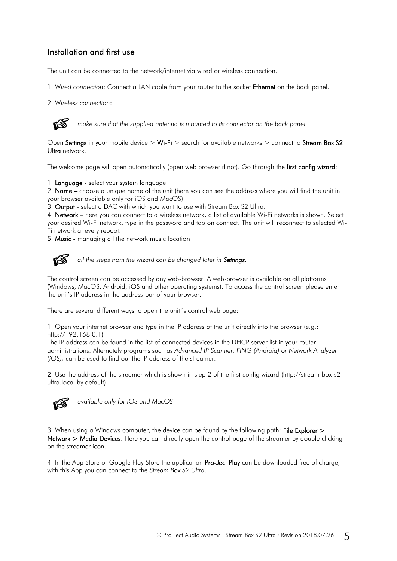# Installation and first use

The unit can be connected to the network/internet via wired or wireless connection.

1. W*ired connection*: Connect a LAN cable from your router to the socket Ethernet on the back panel.

2. W*ireless connection*:



*make sure that the supplied antenna is mounted to its connector on the back panel.*

Open Settings in your mobile device  $>$  Wi-Fi  $>$  search for available networks  $>$  connect to Stream Box S2 Ultra network.

The welcome page will open automatically (open web browser if not). Go through the first config wizard:

1. Language - select your system language

2. Name – choose a unique name of the unit (here you can see the address where you will find the unit in your browser available only for iOS and MacOS)

3. Output - select a DAC with which you want to use with Stream Box S2 Ultra.

4. Network – here you can connect to a wireless network, a list of available Wi-Fi networks is shown. Select your desired Wi-Fi network, type in the password and tap on connect. The unit will reconnect to selected Wi-Fi network at every reboot.

5. Music - managing all the network music location



*all the steps from the wizard can be changed later in Settings.*

The control screen can be accessed by any web-browser. A web-browser is available on all platforms (Windows, MacOS, Android, iOS and other operating systems). To access the control screen please enter the unit's IP address in the address-bar of your browser.

There are several different ways to open the unit´s control web page:

1. Open your internet browser and type in the IP address of the unit directly into the browser (e.g.: http://192.168.0.1)

The IP address can be found in the list of connected devices in the DHCP server list in your router administrations. Alternately programs such as *Advanced IP Scanner, FING (Android) or Network Analyzer (iOS),* can be used to find out the IP address of the streamer.

2. Use the address of the streamer which is shown in step 2 of the first config wizard (http://stream-box-s2 ultra.local by default)



*available only for iOS and MacOS* 

3. When using a Windows computer, the device can be found by the following path: File Explorer > Network > Media Devices. Here you can directly open the control page of the streamer by double clicking on the streamer icon.

4. In the App Store or Google Play Store the application Pro-Ject Play can be downloaded free of charge, with this App you can connect to the *Stream Box S2 Ultra*.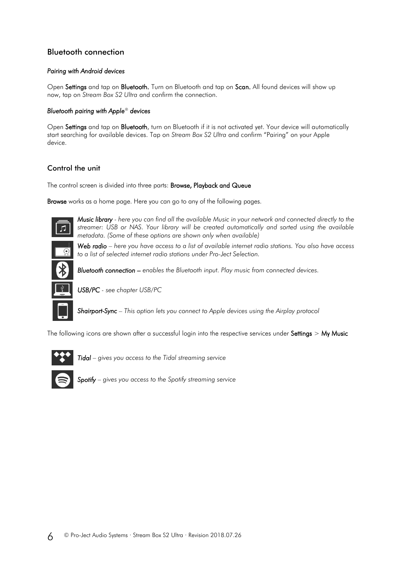# Bluetooth connection

#### *Pairing with Android devices*

Open Settings and tap on Bluetooth. Turn on Bluetooth and tap on Scan. All found devices will show up now, tap on *Stream Box S2 Ultra* and confirm the connection.

#### *Bluetooth pairing with Apple® devices*

Open Settings and tap on Bluetooth, turn on Bluetooth if it is not activated yet. Your device will automatically start searching for available devices. Tap on *Stream Box S2 Ultra* and confirm "Pairing" on your Apple device.

# Control the unit

The control screen is divided into three parts: Browse, Playback and Queue

Browse works as a home page. Here you can go to any of the following pages.



*Music library - here you can find all the available Music in your network and connected directly to the streamer: USB or NAS. Your library will be created automatically and sorted using the available metadata. (Some of these options are shown only when available)*

*Web radio – here you have access to a list of available internet radio stations. You also have access to a list of selected internet radio stations under Pro-Ject Selection.*



*USB/PC - see chapter USB/PC*

*Shairport-Sync – This option lets you connect to Apple devices using the Airplay protocol* 

The following icons are shown after a successful login into the respective services under Settings > My Music



 $\mathsf{I}$ 

I

*Tidal – gives you access to the Tidal streaming service*



*Spotify – gives you access to the Spotify streaming service*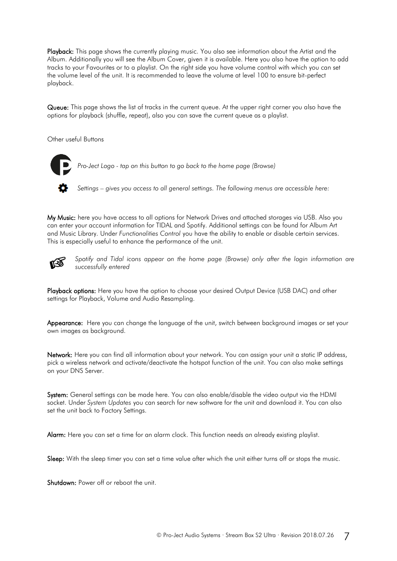Playback: This page shows the currently playing music. You also see information about the Artist and the Album. Additionally you will see the Album Cover, given it is available. Here you also have the option to add tracks to your Favourites or to a playlist. On the right side you have volume control with which you can set the volume level of the unit. It is recommended to leave the volume at level 100 to ensure bit-perfect playback.

Queue: This page shows the list of tracks in the current queue. At the upper right corner you also have the options for playback (shuffle, repeat), also you can save the current queue as a playlist.

Other useful Buttons

*Pro-Ject Logo - tap on this button to go back to the home page (Browse)*

*Settings – gives you access to all general settings. The following menus are accessible here:*

My Music: here you have access to all options for Network Drives and attached storages via USB. Also you can enter your account information for TIDAL and Spotify. Additional settings can be found for Album Art and Music Library. Under *Functionalities Control* you have the ability to enable or disable certain services. This is especially useful to enhance the performance of the unit.



*Spotify and Tidal icons appear on the home page (Browse) only after the login information are successfully entered*

Playback options: Here you have the option to choose your desired Output Device (USB DAC) and other settings for Playback, Volume and Audio Resampling.

Appearance: Here you can change the language of the unit, switch between background images or set your own images as background.

Network: Here you can find all information about your network. You can assign your unit a static IP address, pick a wireless network and activate/deactivate the hotspot function of the unit. You can also make settings on your DNS Server.

System: General settings can be made here. You can also enable/disable the video output via the HDMI socket. Under *System Updates* you can search for new software for the unit and download it. You can also set the unit back to Factory Settings.

Alarm: Here you can set a time for an alarm clock. This function needs an already existing playlist.

Sleep: With the sleep timer you can set a time value after which the unit either turns off or stops the music.

Shutdown: Power off or reboot the unit.